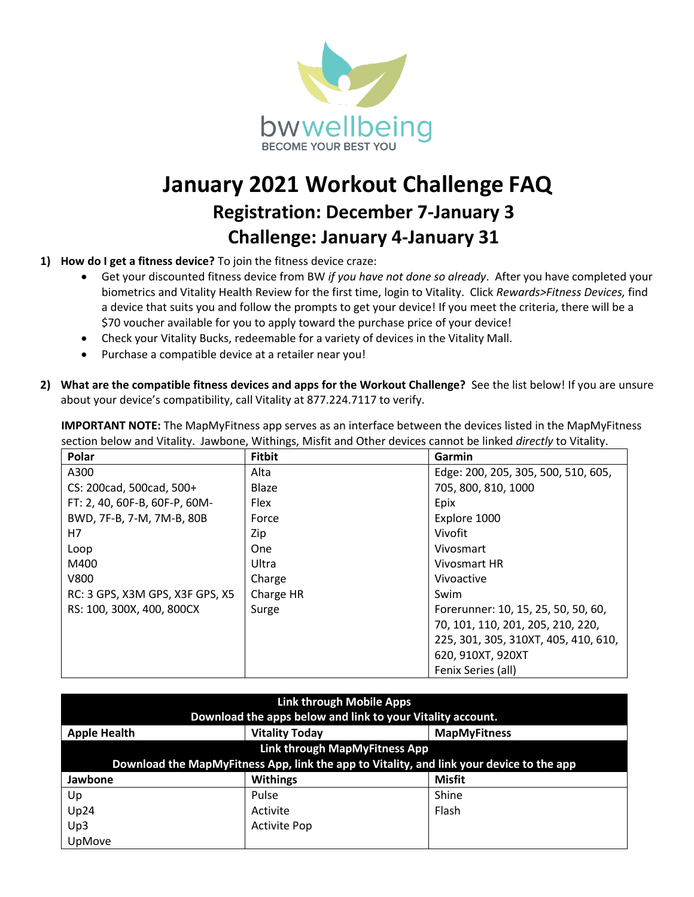

## **January 2021 Workout Challenge FAQ Registration: December 7-January 3 Challenge: January 4-January 31**

- **1) How do I get a fitness device?** To join the fitness device craze:
	- Get your discounted fitness device from BW *if you have not done so already*. After you have completed your biometrics and Vitality Health Review for the first time, login to Vitality. Click *Rewards>Fitness Devices,* find a device that suits you and follow the prompts to get your device! If you meet the criteria, there will be a \$70 voucher available for you to apply toward the purchase price of your device!
	- Check your Vitality Bucks, redeemable for a variety of devices in the Vitality Mall.
	- Purchase a compatible device at a retailer near you!
- **2) What are the compatible fitness devices and apps for the Workout Challenge?** See the list below! If you are unsure about your device's compatibility, call Vitality at 877.224.7117 to verify.

| Polar                           | <b>Fitbit</b> | Garmin                               |
|---------------------------------|---------------|--------------------------------------|
| A300                            | Alta          | Edge: 200, 205, 305, 500, 510, 605,  |
| CS: 200cad, 500cad, 500+        | Blaze         | 705, 800, 810, 1000                  |
| FT: 2, 40, 60F-B, 60F-P, 60M-   | Flex          | Epix                                 |
| BWD, 7F-B, 7-M, 7M-B, 80B       | Force         | Explore 1000                         |
| H7                              | Zip           | Vivofit                              |
| Loop                            | <b>One</b>    | Vivosmart                            |
| M400                            | Ultra         | Vivosmart HR                         |
| <b>V800</b>                     | Charge        | Vivoactive                           |
| RC: 3 GPS, X3M GPS, X3F GPS, X5 | Charge HR     | Swim                                 |
| RS: 100, 300X, 400, 800CX       | Surge         | Forerunner: 10, 15, 25, 50, 50, 60,  |
|                                 |               | 70, 101, 110, 201, 205, 210, 220,    |
|                                 |               | 225, 301, 305, 310XT, 405, 410, 610, |
|                                 |               | 620, 910XT, 920XT                    |
|                                 |               | Fenix Series (all)                   |

**IMPORTANT NOTE:** The MapMyFitness app serves as an interface between the devices listed in the MapMyFitness section below and Vitality. Jawbone, Withings, Misfit and Other devices cannot be linked *directly* to Vitality.

| <b>Link through Mobile Apps</b><br>Download the apps below and link to your Vitality account. |                       |                     |  |
|-----------------------------------------------------------------------------------------------|-----------------------|---------------------|--|
| <b>Apple Health</b>                                                                           | <b>Vitality Today</b> | <b>MapMyFitness</b> |  |
| Link through MapMyFitness App                                                                 |                       |                     |  |
| Download the MapMyFitness App, link the app to Vitality, and link your device to the app      |                       |                     |  |
| Jawbone                                                                                       | <b>Withings</b>       | <b>Misfit</b>       |  |
| Up                                                                                            | Pulse                 | Shine               |  |
| Up24                                                                                          | Activite              | Flash               |  |
| Up3                                                                                           | <b>Activite Pop</b>   |                     |  |
| UpMove                                                                                        |                       |                     |  |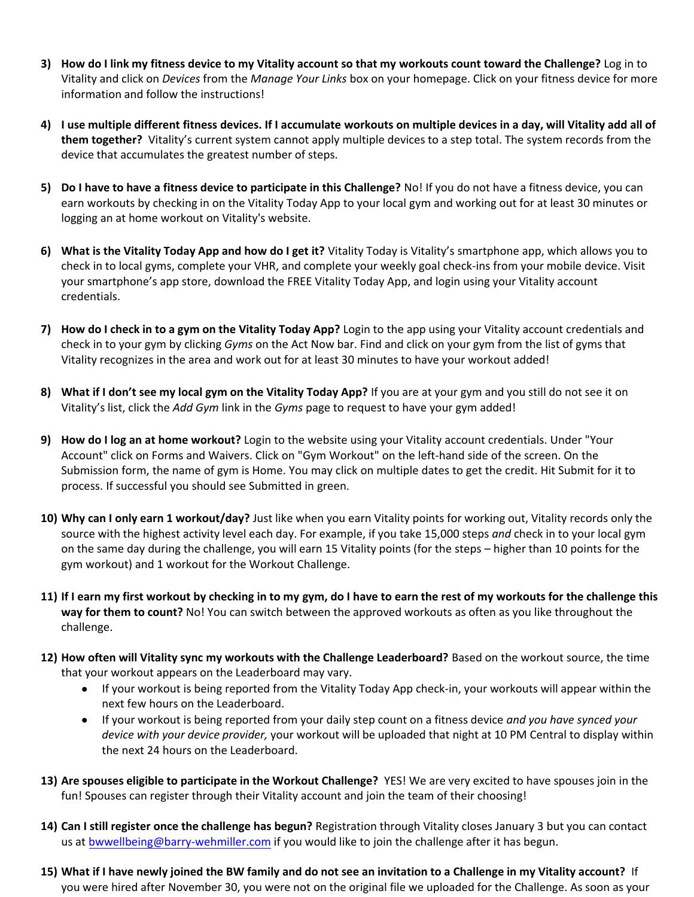- **3) How do I link my fitness device to my Vitality account so that my workouts count toward the Challenge?** Log in to Vitality and click on *Devices* from the *Manage Your Links* box on your homepage. Click on your fitness device for more information and follow the instructions!
- **4) I use multiple different fitness devices. If I accumulate workouts on multiple devices in a day, will Vitality add all of them together?** Vitality's current system cannot apply multiple devices to a step total. The system records from the device that accumulates the greatest number of steps.
- **5) Do I have to have a fitness device to participate in this Challenge?** No! If you do not have a fitness device, you can earn workouts by checking in on the Vitality Today App to your local gym and working out for at least 30 minutes or logging an at home workout on Vitality's website.
- **6) What is the Vitality Today App and how do I get it?** Vitality Today is Vitality's smartphone app, which allows you to check in to local gyms, complete your VHR, and complete your weekly goal check-ins from your mobile device. Visit your smartphone's app store, download the FREE Vitality Today App, and login using your Vitality account credentials.
- **7) How do I check in to a gym on the Vitality Today App?** Login to the app using your Vitality account credentials and check in to your gym by clicking *Gyms* on the Act Now bar. Find and click on your gym from the list of gyms that Vitality recognizes in the area and work out for at least 30 minutes to have your workout added!
- **8) What if I don't see my local gym on the Vitality Today App?** If you are at your gym and you still do not see it on Vitality's list, click the *Add Gym* link in the *Gyms* page to request to have your gym added!
- **9) How do I log an at home workout?** Login to the website using your Vitality account credentials. Under "Your Account" click on Forms and Waivers. Click on "Gym Workout" on the left-hand side of the screen. On the Submission form, the name of gym is Home. You may click on multiple dates to get the credit. Hit Submit for it to process. If successful you should see Submitted in green.
- **10) Why can I only earn 1 workout/day?** Just like when you earn Vitality points for working out, Vitality records only the source with the highest activity level each day. For example, if you take 15,000 steps *and* check in to your local gym on the same day during the challenge, you will earn 15 Vitality points (for the steps – higher than 10 points for the gym workout) and 1 workout for the Workout Challenge.
- **11) If I earn my first workout by checking in to my gym, do I have to earn the rest of my workouts for the challenge this way for them to count?** No! You can switch between the approved workouts as often as you like throughout the challenge.
- **12) How often will Vitality sync my workouts with the Challenge Leaderboard?** Based on the workout source, the time that your workout appears on the Leaderboard may vary.
	- If your workout is being reported from the Vitality Today App check-in, your workouts will appear within the next few hours on the Leaderboard.
	- If your workout is being reported from your daily step count on a fitness device *and you have synced your device with your device provider,* your workout will be uploaded that night at 10 PM Central to display within the next 24 hours on the Leaderboard.
- **13) Are spouses eligible to participate in the Workout Challenge?** YES! We are very excited to have spouses join in the fun! Spouses can register through their Vitality account and join the team of their choosing!
- **14) Can I still register once the challenge has begun?** Registration through Vitality closes January 3 [but you can contact](mailto:bwwellbeing@barry-wehmiller.com) us at [bwwellbeing@barry-wehmiller.com](mailto:bwwellbeing@barry-wehmiller.com) if you would like to join the challenge after it has begun.
- **15) What if I have newly joined the BW family and do not see an invitation to a Challenge in my Vitality account?** If you were hired after November 30, you were not on the original file we uploaded for the Challenge. As soon as your